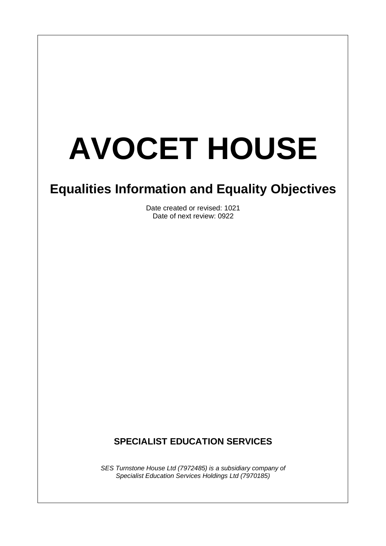# **AVOCET HOUSE**

 $\overline{\phantom{a}}$ 

## **Equalities Information and Equality Objectives**

Date created or revised: 1021 Date of next review: 0922

### **SPECIALIST EDUCATION SERVICES**

*SES Turnstone House Ltd (7972485) is a subsidiary company of Specialist Education Services Holdings Ltd (7970185)*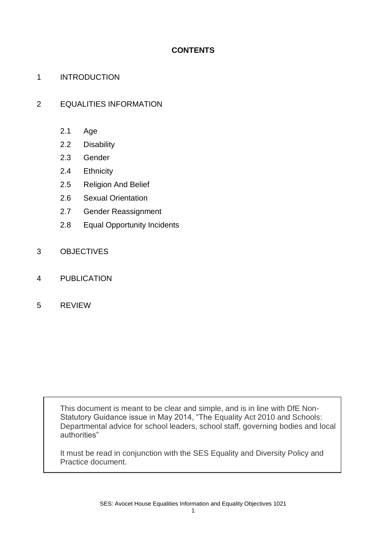#### **CONTENTS**

#### 1 INTRODUCTION

#### 2 EQUALITIES INFORMATION

- 2.1 Age
- 2.2 Disability
- 2.3 Gender
- 2.4 Ethnicity
- 2.5 Religion And Belief
- 2.6 Sexual Orientation
- 2.7 Gender Reassignment
- 2.8 Equal Opportunity Incidents
- 3 OBJECTIVES
- 4 PUBLICATION
- 5 REVIEW

This document is meant to be clear and simple, and is in line with DfE Non-Statutory Guidance issue in May 2014, "The Equality Act 2010 and Schools: Departmental advice for school leaders, school staff, governing bodies and local authorities"

It must be read in conjunction with the SES Equality and Diversity Policy and Practice document.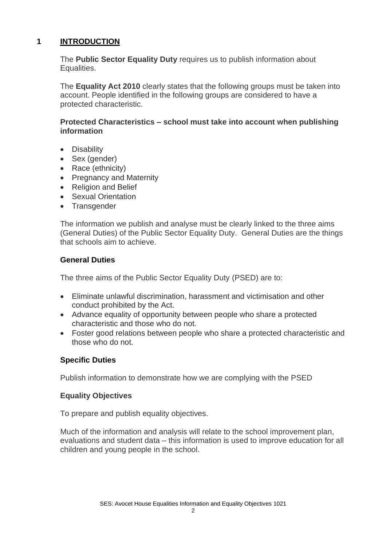#### **1 INTRODUCTION**

The **Public Sector Equality Duty** requires us to publish information about Equalities.

The **Equality Act 2010** clearly states that the following groups must be taken into account. People identified in the following groups are considered to have a protected characteristic.

#### **Protected Characteristics – school must take into account when publishing information**

- Disability
- Sex (gender)
- Race (ethnicity)
- Pregnancy and Maternity
- Religion and Belief
- Sexual Orientation
- Transgender

The information we publish and analyse must be clearly linked to the three aims (General Duties) of the Public Sector Equality Duty. General Duties are the things that schools aim to achieve.

#### **General Duties**

The three aims of the Public Sector Equality Duty (PSED) are to:

- Eliminate unlawful discrimination, harassment and victimisation and other conduct prohibited by the Act.
- Advance equality of opportunity between people who share a protected characteristic and those who do not.
- Foster good relations between people who share a protected characteristic and those who do not.

#### **Specific Duties**

Publish information to demonstrate how we are complying with the PSED

#### **Equality Objectives**

To prepare and publish equality objectives.

Much of the information and analysis will relate to the school improvement plan, evaluations and student data – this information is used to improve education for all children and young people in the school.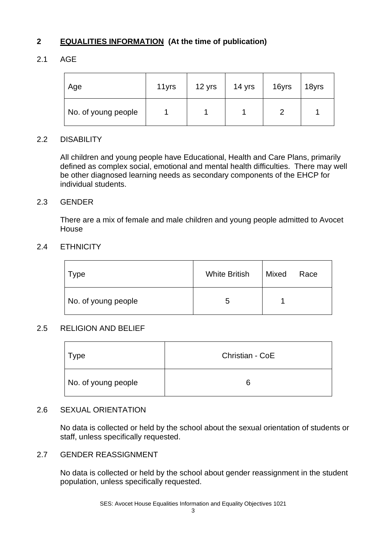#### **2 EQUALITIES INFORMATION (At the time of publication)**

#### 2.1 AGE

| Age                 | 11yrs | 12 yrs | 14 yrs | 16yrs | 18yrs |
|---------------------|-------|--------|--------|-------|-------|
| No. of young people |       |        |        |       |       |

#### 2.2 DISABILITY

All children and young people have Educational, Health and Care Plans, primarily defined as complex social, emotional and mental health difficulties. There may well be other diagnosed learning needs as secondary components of the EHCP for individual students.

#### 2.3 GENDER

There are a mix of female and male children and young people admitted to Avocet House

#### 2.4 ETHNICITY

| Type                | <b>White British</b> | Mixed | Race |
|---------------------|----------------------|-------|------|
| No. of young people | b                    |       |      |

#### 2.5 RELIGION AND BELIEF

| Type                | Christian - CoE |
|---------------------|-----------------|
| No. of young people | ิค              |

#### 2.6 SEXUAL ORIENTATION

No data is collected or held by the school about the sexual orientation of students or staff, unless specifically requested.

#### 2.7 GENDER REASSIGNMENT

No data is collected or held by the school about gender reassignment in the student population, unless specifically requested.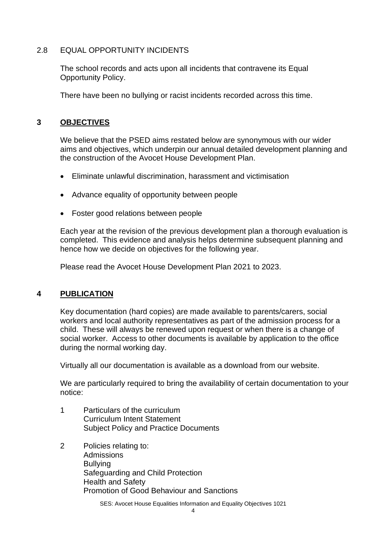#### 2.8 EQUAL OPPORTUNITY INCIDENTS

The school records and acts upon all incidents that contravene its Equal Opportunity Policy.

There have been no bullying or racist incidents recorded across this time.

#### **3 OBJECTIVES**

We believe that the PSED aims restated below are synonymous with our wider aims and objectives, which underpin our annual detailed development planning and the construction of the Avocet House Development Plan.

- Eliminate unlawful discrimination, harassment and victimisation
- Advance equality of opportunity between people
- Foster good relations between people

Each year at the revision of the previous development plan a thorough evaluation is completed. This evidence and analysis helps determine subsequent planning and hence how we decide on objectives for the following year.

Please read the Avocet House Development Plan 2021 to 2023.

#### **4 PUBLICATION**

Key documentation (hard copies) are made available to parents/carers, social workers and local authority representatives as part of the admission process for a child. These will always be renewed upon request or when there is a change of social worker. Access to other documents is available by application to the office during the normal working day.

Virtually all our documentation is available as a download from our website.

We are particularly required to bring the availability of certain documentation to your notice:

- 1 Particulars of the curriculum Curriculum Intent Statement Subject Policy and Practice Documents
- 2 Policies relating to: Admissions **Bullving** Safeguarding and Child Protection Health and Safety Promotion of Good Behaviour and Sanctions

SES: Avocet House Equalities Information and Equality Objectives 1021